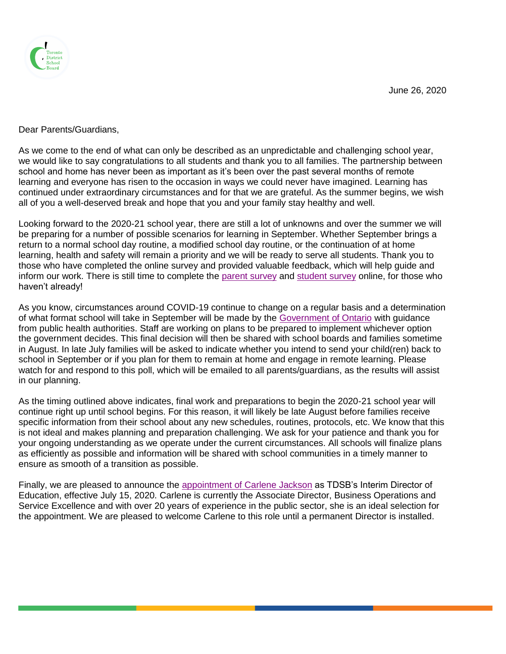June 26, 2020



Dear Parents/Guardians,

As we come to the end of what can only be described as an unpredictable and challenging school year, we would like to say congratulations to all students and thank you to all families. The partnership between school and home has never been as important as it's been over the past several months of remote learning and everyone has risen to the occasion in ways we could never have imagined. Learning has continued under extraordinary circumstances and for that we are grateful. As the summer begins, we wish all of you a well-deserved break and hope that you and your family stay healthy and well.

Looking forward to the 2020-21 school year, there are still a lot of unknowns and over the summer we will be preparing for a number of possible scenarios for learning in September. Whether September brings a return to a normal school day routine, a modified school day routine, or the continuation of at home learning, health and safety will remain a priority and we will be ready to serve all students. Thank you to those who have completed the online survey and provided valuable feedback, which will help guide and inform our work. There is still time to complete the [parent survey](https://www.tdsb.on.ca/Remote-Learning-Supports-and-Resources-for-Educators/RemoteLearningParentSurvey) and [student survey](https://www.tdsb.on.ca/Remote-Learning-Supports-and-Resources-for-Educators/Student-Survey) online, for those who haven't already!

As you know, circumstances around COVID-19 continue to change on a regular basis and a determination of what format school will take in September will be made by the [Government of Ontario](https://www.ontario.ca/page/approach-reopening-schools-2020-2021-school-year) with guidance from public health authorities. Staff are working on plans to be prepared to implement whichever option the government decides. This final decision will then be shared with school boards and families sometime in August. In late July families will be asked to indicate whether you intend to send your child(ren) back to school in September or if you plan for them to remain at home and engage in remote learning. Please watch for and respond to this poll, which will be emailed to all parents/guardians, as the results will assist in our planning.

As the timing outlined above indicates, final work and preparations to begin the 2020-21 school year will continue right up until school begins. For this reason, it will likely be late August before families receive specific information from their school about any new schedules, routines, protocols, etc. We know that this is not ideal and makes planning and preparation challenging. We ask for your patience and thank you for your ongoing understanding as we operate under the current circumstances. All schools will finalize plans as efficiently as possible and information will be shared with school communities in a timely manner to ensure as smooth of a transition as possible.

Finally, we are pleased to announce the [appointment of Carlene Jackson](https://www.tdsb.on.ca/News/Article-Details/ArtMID/474/ArticleID/1483/TDSB-Names-Interim-Director-of-Education) as TDSB's Interim Director of Education, effective July 15, 2020. Carlene is currently the Associate Director, Business Operations and Service Excellence and with over 20 years of experience in the public sector, she is an ideal selection for the appointment. We are pleased to welcome Carlene to this role until a permanent Director is installed.